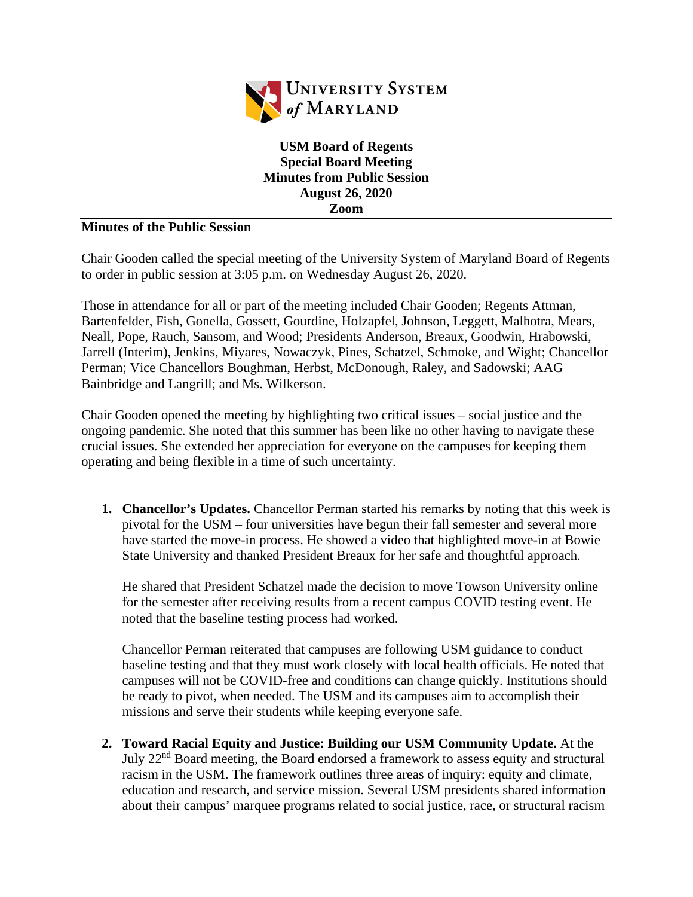

**USM Board of Regents Special Board Meeting Minutes from Public Session August 26, 2020 Zoom**

## **Minutes of the Public Session**

Chair Gooden called the special meeting of the University System of Maryland Board of Regents to order in public session at 3:05 p.m. on Wednesday August 26, 2020.

Those in attendance for all or part of the meeting included Chair Gooden; Regents Attman, Bartenfelder, Fish, Gonella, Gossett, Gourdine, Holzapfel, Johnson, Leggett, Malhotra, Mears, Neall, Pope, Rauch, Sansom, and Wood; Presidents Anderson, Breaux, Goodwin, Hrabowski, Jarrell (Interim), Jenkins, Miyares, Nowaczyk, Pines, Schatzel, Schmoke, and Wight; Chancellor Perman; Vice Chancellors Boughman, Herbst, McDonough, Raley, and Sadowski; AAG Bainbridge and Langrill; and Ms. Wilkerson.

Chair Gooden opened the meeting by highlighting two critical issues – social justice and the ongoing pandemic. She noted that this summer has been like no other having to navigate these crucial issues. She extended her appreciation for everyone on the campuses for keeping them operating and being flexible in a time of such uncertainty.

**1. Chancellor's Updates.** Chancellor Perman started his remarks by noting that this week is pivotal for the USM – four universities have begun their fall semester and several more have started the move-in process. He showed a video that highlighted move-in at Bowie State University and thanked President Breaux for her safe and thoughtful approach.

He shared that President Schatzel made the decision to move Towson University online for the semester after receiving results from a recent campus COVID testing event. He noted that the baseline testing process had worked.

Chancellor Perman reiterated that campuses are following USM guidance to conduct baseline testing and that they must work closely with local health officials. He noted that campuses will not be COVID-free and conditions can change quickly. Institutions should be ready to pivot, when needed. The USM and its campuses aim to accomplish their missions and serve their students while keeping everyone safe.

**2. Toward Racial Equity and Justice: Building our USM Community Update.** At the July 22nd Board meeting, the Board endorsed a framework to assess equity and structural racism in the USM. The framework outlines three areas of inquiry: equity and climate, education and research, and service mission. Several USM presidents shared information about their campus' marquee programs related to social justice, race, or structural racism